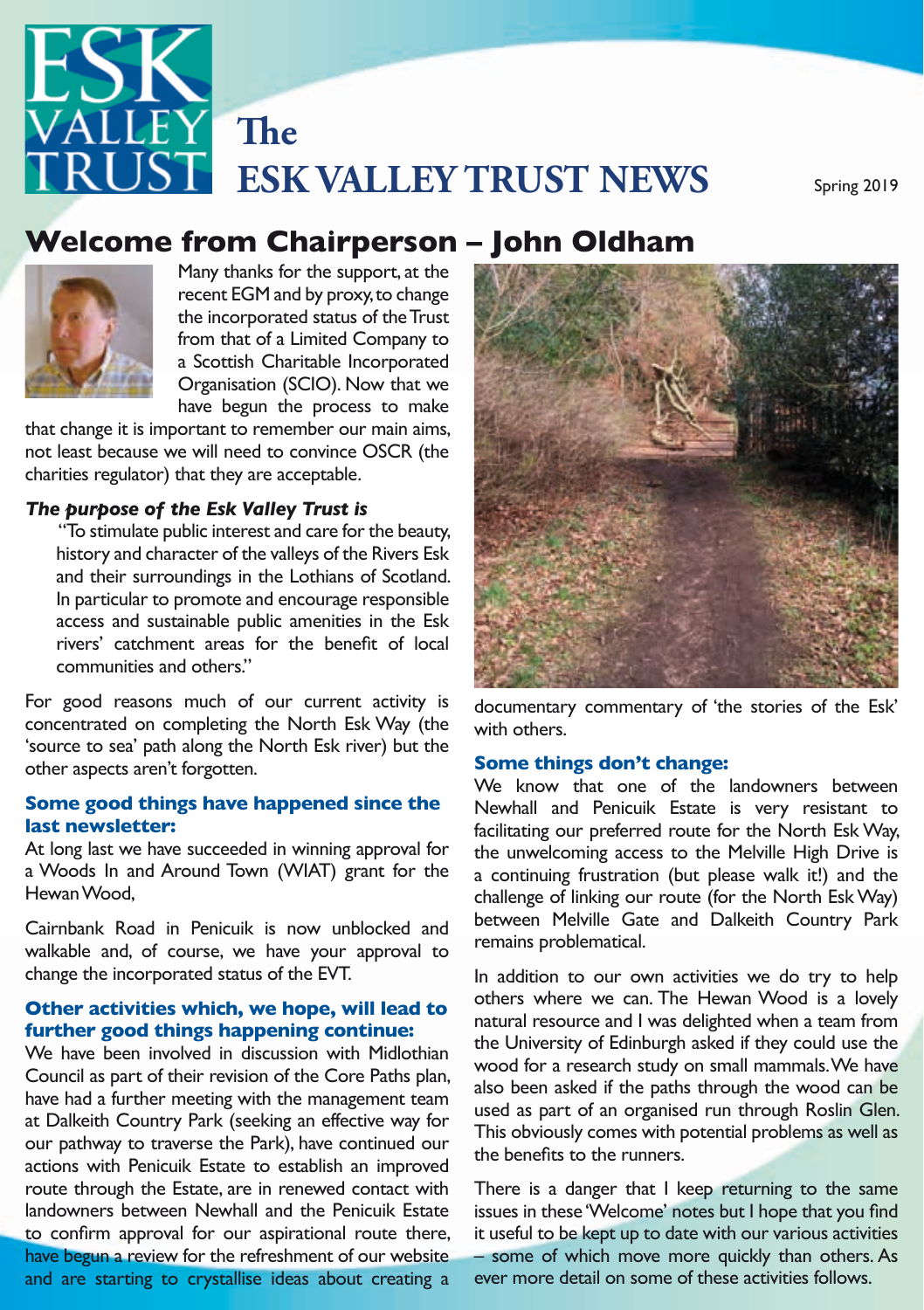

# **Welcome from Chairperson – John Oldham**<br>Many thanks for the support, at the



Chairman's Organisation (SCIO). Now that we have begun the process to make Many thanks for the support, at the recent EGM and by proxy, to change the incorporated status of the Trust from that of a Limited Company to a Scottish Charitable Incorporated have begun the process to make

that change it is important to remember our main aims, charities regulator) that they are acceptable.

access and sustainable public amenities in the Esk "To stimulate public interest and care for the beauty, In particular to promote and encourage responsible communities and others."

For good reasons much of our current activity is documentary commentary of the stories of the Esk' concentrated on completing the North Esk Way (the 'source to sea' path along the North Esk river) but the **Some things don't change:**<br>shape are at a gradiate formulation other aspects aren't forgotten.

#### **Some good things have happened since the last newsletter:**

At long last we have succeeded in winning approval for a Woods In and Around Town (WIAT) grant for the Hewan Wood,

valkable and, of course, we have your approval to Cairnbank Road in Penicuik is now unblocked and change the incorporated status of the EVT.

#### **Other activities which, we hope, will lead to further good things happening continue:**

We have been involved in discussion with Midlothian<br>Council as part of their mateion of the Core Paths alon wood for a research study on small mammals. We have Network as part of the restormance of the series with plans and a skeep asked if the paths through the wood can be have had a further meeting with the management team at Dalkeith Country Park (seeking an effective way for readed the contact to discussion and improved<br>route through the Estate, are in renewed contact with There is a danger th and are starting to crystallise ideas about creating a We have been involved in discussion with Midlothian Council as part of their revision of the Core Paths plan, our pathway to traverse the Park), have continued our actions with Penicuik Estate to establish an improved landowners between Newhall and the Penicuik Estate to confirm approval for our aspirational route there, have begun a review for the refreshment of our website



documentary commentary of 'the stories of the Esk' with others.

#### **Some things don't change:**

**• The Access Forum, has helped us linewide** use and contain and contain and contains and contains and contains our preferred route for the North Esk Way, st we have succeeded in winning approval for the unwelcoming access to the Melville High Drive is Entiments of mining of mining of roted (or the North Est Way)<br>Cairphank Road in Penicuik is now upblocked and between Melville Gate and Dalkeith Country Park We know that one of the landowners between Newhall and Penicuik Estate is very resistant to a continuing frustration (but please walk it!) and the challenge of linking our route (for the North Esk Way) remains problematical.

> In addition to our own activities we do try to help others where we can. The Hewan Wood is a lovely natural resource and I was delighted when a team from the University of Edinburgh asked if they could use the also been asked if the paths through the wood can be used as part of an organised run through Roslin Glen. This obviously comes with potential problems as well as the benefits to the runners.

between Newhall and the Penicuik Estate issues in these 'Welcome' notes but I hope that you find owners between in approval for surface and the communities and printing in a section of the printing of the communities are the printing of the printing of the printing of the printing of the printing of the printing of the printing of t There is a danger that I keep returning to the same it useful to be kept up to date with our various activities ever more detail on some of these activities follows.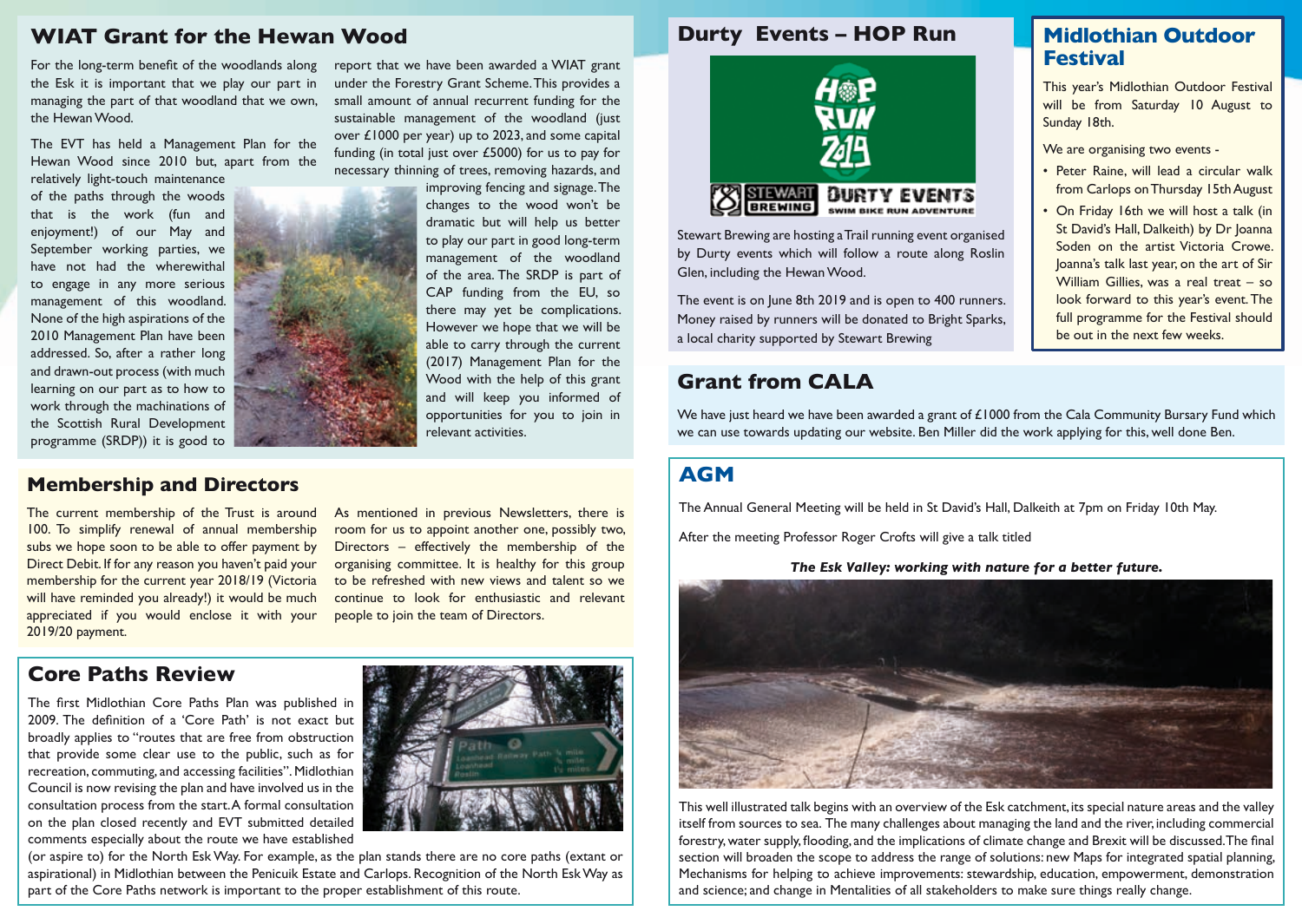### **WIAT Grant for the Hewan Wood**

For the long-term benefit of the woodlands along the Esk it is important that we play our part in managing the part of that woodland that we own, the Hewan Wood.

The EVT has held a Management Plan for the Hewan Wood since 2010 but, apart from the relatively light-touch maintenance

of the paths through the woods that is the work (fun and enjoyment!) of our May and September working parties, we have not had the wherewithal to engage in any more serious management of this woodland. None of the high aspirations of the 2010 Management Plan have been addressed. So, after a rather long and drawn-out process (with much learning on our part as to how to work through the machinations of the Scottish Rural Development programme (SRDP)) it is good to



report that we have been awarded a WIAT grant under the Forestry Grant Scheme. This provides a small amount of annual recurrent funding for the sustainable management of the woodland (just over £1000 per year) up to 2023, and some capital funding (in total just over £5000) for us to pay for necessary thinning of trees, removing hazards, and

improving fencing and signage. The changes to the wood won't be dramatic but will help us better to play our part in good long-term management of the woodland of the area. The SRDP is part of CAP funding from the EU, so there may yet be complications. However we hope that we will be able to carry through the current (2017) Management Plan for the Wood with the help of this grant and will keep you informed of opportunities for you to join in relevant activities.

#### **Membership and Directors**

The current membership of the Trust is around 100. To simplify renewal of annual membership subs we hope soon to be able to offer payment by Direct Debit. If for any reason you haven't paid your membership for the current year 2018/19 (Victoria will have reminded you already!) it would be much appreciated if you would enclose it with your 2019/20 payment.

As mentioned in previous Newsletters, there is room for us to appoint another one, possibly two, Directors – effectively the membership of the organising committee. It is healthy for this group to be refreshed with new views and talent so we continue to look for enthusiastic and relevant people to join the team of Directors.

### **Core Paths Review**

The first Midlothian Core Paths Plan was published in 2009. The definition of a 'Core Path' is not exact but broadly applies to "routes that are free from obstruction that provide some clear use to the public, such as for recreation, commuting, and accessing facilities". Midlothian Council is now revising the plan and have involved us in the consultation process from the start. A formal consultation on the plan closed recently and EVT submitted detailed comments especially about the route we have established



(or aspire to) for the North Esk Way. For example, as the plan stands there are no core paths (extant or aspirational) in Midlothian between the Penicuik Estate and Carlops. Recognition of the North Esk Way as part of the Core Paths network is important to the proper establishment of this route.

#### **Durty Events – HOP Run**



Stewart Brewing are hosting a Trail running event organised by Durty events which will follow a route along Roslin Glen, including the Hewan Wood.

The event is on June 8th 2019 and is open to 400 runners. Money raised by runners will be donated to Bright Sparks, a local charity supported by Stewart Brewing

### **Grant from CALA**

We have just heard we have been awarded a grant of £1000 from the Cala Community Bursary Fund which we can use towards updating our website. Ben Miller did the work applying for this, well done Ben.

### **AGM**

The Annual General Meeting will be held in St David's Hall, Dalkeith at 7pm on Friday 10th May.

After the meeting Professor Roger Crofts will give a talk titled

#### *The Esk Valley: working with nature for a better future.*



This well illustrated talk begins with an overview of the Esk catchment, its special nature areas and the valley itself from sources to sea. The many challenges about managing the land and the river, including commercial forestry, water supply, flooding, and the implications of climate change and Brexit will be discussed. The final section will broaden the scope to address the range of solutions: new Maps for integrated spatial planning, Mechanisms for helping to achieve improvements: stewardship, education, empowerment, demonstration and science; and change in Mentalities of all stakeholders to make sure things really change.

## **Midlothian Outdoor Festival**

This year's Midlothian Outdoor Festival will be from Saturday 10 August to Sunday 18th.

We are organising two events -

- Peter Raine, will lead a circular walk from Carlops on Thursday 15th August
- On Friday 16th we will host a talk (in St David's Hall, Dalkeith) by Dr Joanna Soden on the artist Victoria Crowe. Joanna's talk last year, on the art of Sir William Gillies, was a real treat - so look forward to this year's event. The full programme for the Festival should be out in the next few weeks.